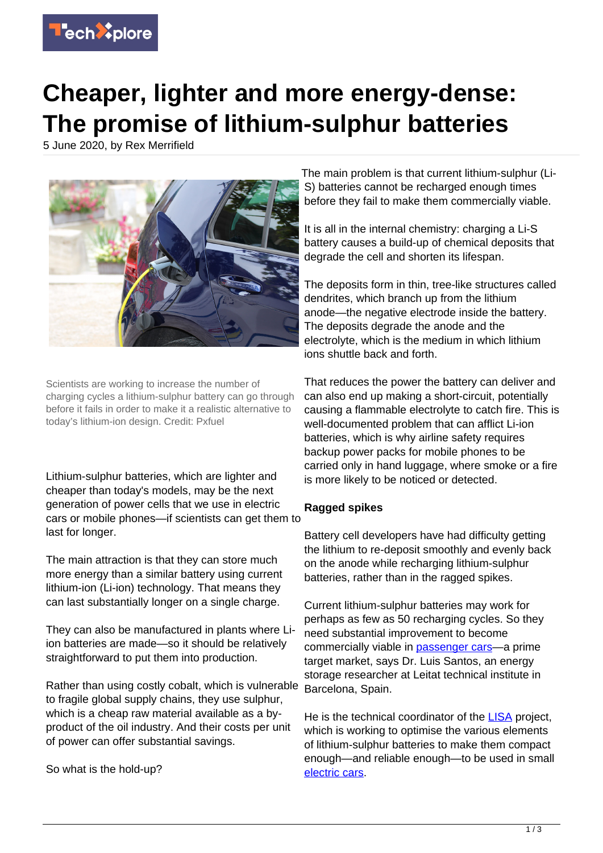

## **Cheaper, lighter and more energy-dense: The promise of lithium-sulphur batteries**

5 June 2020, by Rex Merrifield



Scientists are working to increase the number of charging cycles a lithium-sulphur battery can go through before it fails in order to make it a realistic alternative to today's lithium-ion design. Credit: Pxfuel

Lithium-sulphur batteries, which are lighter and cheaper than today's models, may be the next generation of power cells that we use in electric cars or mobile phones—if scientists can get them to last for longer.

The main attraction is that they can store much more energy than a similar battery using current lithium-ion (Li-ion) technology. That means they can last substantially longer on a single charge.

They can also be manufactured in plants where Liion batteries are made—so it should be relatively straightforward to put them into production.

Rather than using costly cobalt, which is vulnerable to fragile global supply chains, they use sulphur, which is a cheap raw material available as a byproduct of the oil industry. And their costs per unit of power can offer substantial savings.

So what is the hold-up?

The main problem is that current lithium-sulphur (Li-S) batteries cannot be recharged enough times before they fail to make them commercially viable.

It is all in the internal chemistry: charging a Li-S battery causes a build-up of chemical deposits that degrade the cell and shorten its lifespan.

The deposits form in thin, tree-like structures called dendrites, which branch up from the lithium anode—the negative electrode inside the battery. The deposits degrade the anode and the electrolyte, which is the medium in which lithium ions shuttle back and forth.

That reduces the power the battery can deliver and can also end up making a short-circuit, potentially causing a flammable electrolyte to catch fire. This is well-documented problem that can afflict Li-ion batteries, which is why airline safety requires backup power packs for mobile phones to be carried only in hand luggage, where smoke or a fire is more likely to be noticed or detected.

## **Ragged spikes**

Battery cell developers have had difficulty getting the lithium to re-deposit smoothly and evenly back on the anode while recharging lithium-sulphur batteries, rather than in the ragged spikes.

Current lithium-sulphur batteries may work for perhaps as few as 50 recharging cycles. So they need substantial improvement to become commercially viable in [passenger cars](https://techxplore.com/tags/passenger+cars/)—a prime target market, says Dr. Luis Santos, an energy storage researcher at Leitat technical institute in Barcelona, Spain.

He is the technical coordinator of the [LISA](https://cordis.europa.eu/project/id/814471) project, which is working to optimise the various elements of lithium-sulphur batteries to make them compact enough—and reliable enough—to be used in small [electric cars](https://techxplore.com/tags/electric+cars/).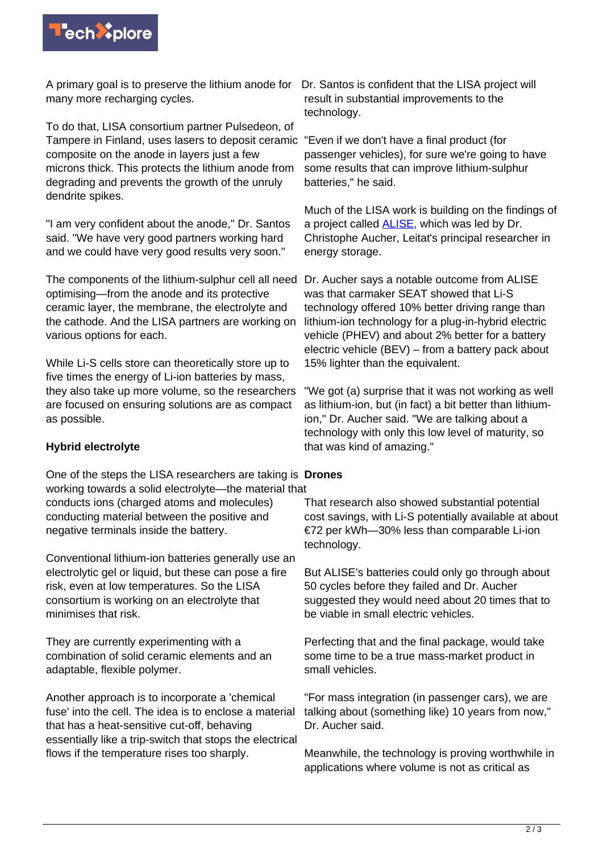

A primary goal is to preserve the lithium anode for Dr. Santos is confident that the LISA project will many more recharging cycles.

To do that, LISA consortium partner Pulsedeon, of Tampere in Finland, uses lasers to deposit ceramic "Even if we don't have a final product (for composite on the anode in layers just a few microns thick. This protects the lithium anode from degrading and prevents the growth of the unruly dendrite spikes.

"I am very confident about the anode," Dr. Santos said. "We have very good partners working hard and we could have very good results very soon."

The components of the lithium-sulphur cell all need Dr. Aucher says a notable outcome from ALISE optimising—from the anode and its protective ceramic layer, the membrane, the electrolyte and the cathode. And the LISA partners are working on various options for each.

While Li-S cells store can theoretically store up to five times the energy of Li-ion batteries by mass, they also take up more volume, so the researchers are focused on ensuring solutions are as compact as possible.

## **Hybrid electrolyte**

One of the steps the LISA researchers are taking is **Drones** working towards a solid electrolyte—the material that conducts ions (charged atoms and molecules) conducting material between the positive and negative terminals inside the battery.

Conventional lithium-ion batteries generally use an electrolytic gel or liquid, but these can pose a fire risk, even at low temperatures. So the LISA consortium is working on an electrolyte that minimises that risk.

They are currently experimenting with a combination of solid ceramic elements and an adaptable, flexible polymer.

Another approach is to incorporate a 'chemical fuse' into the cell. The idea is to enclose a material that has a heat-sensitive cut-off, behaving essentially like a trip-switch that stops the electrical flows if the temperature rises too sharply.

result in substantial improvements to the technology.

passenger vehicles), for sure we're going to have some results that can improve lithium-sulphur batteries," he said.

Much of the LISA work is building on the findings of a project called [ALISE,](https://cordis.europa.eu/project/id/666157) which was led by Dr. Christophe Aucher, Leitat's principal researcher in energy storage.

was that carmaker SEAT showed that Li-S technology offered 10% better driving range than lithium-ion technology for a plug-in-hybrid electric vehicle (PHEV) and about 2% better for a battery electric vehicle (BEV) – from a battery pack about 15% lighter than the equivalent.

"We got (a) surprise that it was not working as well as lithium-ion, but (in fact) a bit better than lithiumion," Dr. Aucher said. "We are talking about a technology with only this low level of maturity, so that was kind of amazing."

That research also showed substantial potential cost savings, with Li-S potentially available at about €72 per kWh—30% less than comparable Li-ion technology.

But ALISE's batteries could only go through about 50 cycles before they failed and Dr. Aucher suggested they would need about 20 times that to be viable in small electric vehicles.

Perfecting that and the final package, would take some time to be a true mass-market product in small vehicles.

"For mass integration (in passenger cars), we are talking about (something like) 10 years from now," Dr. Aucher said.

Meanwhile, the technology is proving worthwhile in applications where volume is not as critical as